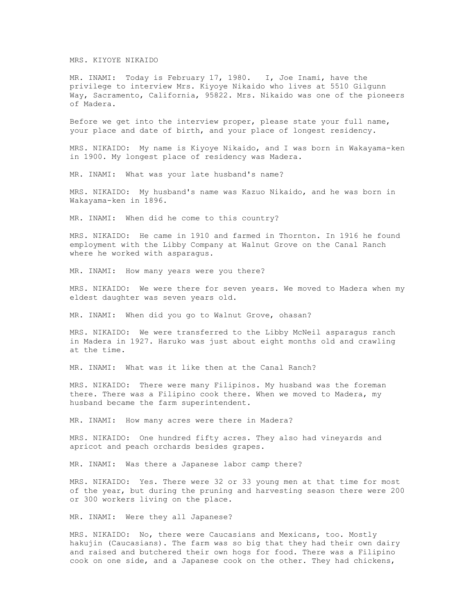## MRS. KIYOYE NIKAIDO

MR. INAMI: Today is February 17, 1980. I, Joe Inami, have the privilege to interview Mrs. Kiyoye Nikaido who lives at 5510 Gilgunn Way, Sacramento, California, 95822. Mrs. Nikaido was one of the pioneers of Madera.

Before we get into the interview proper, please state your full name, your place and date of birth, and your place of longest residency.

MRS. NIKAIDO: My name is Kiyoye Nikaido, and I was born in Wakayama-ken in 1900. My longest place of residency was Madera.

MR. INAMI: What was your late husband's name?

MRS. NIKAIDO: My husband's name was Kazuo Nikaido, and he was born in Wakayama-ken in 1896.

MR. INAMI: When did he come to this country?

MRS. NIKAIDO: He came in 1910 and farmed in Thornton. In 1916 he found employment with the Libby Company at Walnut Grove on the Canal Ranch where he worked with asparagus.

MR. INAMI: How many years were you there?

MRS. NIKAIDO: We were there for seven years. We moved to Madera when my eldest daughter was seven years old.

MR. INAMI: When did you go to Walnut Grove, ohasan?

MRS. NIKAIDO: We were transferred to the Libby McNeil asparagus ranch in Madera in 1927. Haruko was just about eight months old and crawling at the time.

MR. INAMI: What was it like then at the Canal Ranch?

MRS. NIKAIDO: There were many Filipinos. My husband was the foreman there. There was a Filipino cook there. When we moved to Madera, my husband became the farm superintendent.

MR. INAMI: How many acres were there in Madera?

MRS. NIKAIDO: One hundred fifty acres. They also had vineyards and apricot and peach orchards besides grapes.

MR. INAMI: Was there a Japanese labor camp there?

MRS. NIKAIDO: Yes. There were 32 or 33 young men at that time for most of the year, but during the pruning and harvesting season there were 200 or 300 workers living on the place.

MR. INAMI: Were they all Japanese?

MRS. NIKAIDO: No, there were Caucasians and Mexicans, too. Mostly hakujin (Caucasians). The farm was so big that they had their own dairy and raised and butchered their own hogs for food. There was a Filipino cook on one side, and a Japanese cook on the other. They had chickens,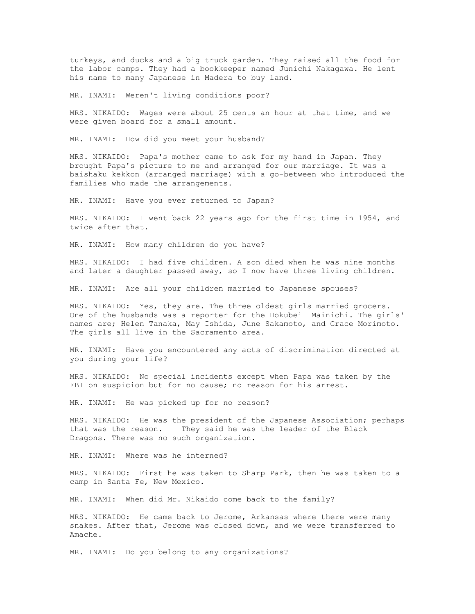turkeys, and ducks and a big truck garden. They raised all the food for the labor camps. They had a bookkeeper named Junichi Nakagawa. He lent his name to many Japanese in Madera to buy land.

MR. INAMI: Weren't living conditions poor?

MRS. NIKAIDO: Wages were about 25 cents an hour at that time, and we were given board for a small amount.

MR. INAMI: How did you meet your husband?

MRS. NIKAIDO: Papa's mother came to ask for my hand in Japan. They brought Papa's picture to me and arranged for our marriage. It was a baishaku kekkon (arranged marriage) with a go-between who introduced the families who made the arrangements.

MR. INAMI: Have you ever returned to Japan?

MRS. NIKAIDO: I went back 22 years ago for the first time in 1954, and twice after that.

MR. INAMI: How many children do you have?

MRS. NIKAIDO: I had five children. A son died when he was nine months and later a daughter passed away, so I now have three living children.

MR. INAMI: Are all your children married to Japanese spouses?

MRS. NIKAIDO: Yes, they are. The three oldest girls married grocers. One of the husbands was a reporter for the Hokubei Mainichi. The girls' names are; Helen Tanaka, May Ishida, June Sakamoto, and Grace Morimoto. The girls all live in the Sacramento area.

MR. INAMI: Have you encountered any acts of discrimination directed at you during your life?

MRS. NIKAIDO: No special incidents except when Papa was taken by the FBI on suspicion but for no cause; no reason for his arrest.

MR. INAMI: He was picked up for no reason?

MRS. NIKAIDO: He was the president of the Japanese Association; perhaps that was the reason. They said he was the leader of the Black Dragons. There was no such organization.

MR. INAMI: Where was he interned?

MRS. NIKAIDO: First he was taken to Sharp Park, then he was taken to a camp in Santa Fe, New Mexico.

MR. INAMI: When did Mr. Nikaido come back to the family?

MRS. NIKAIDO: He came back to Jerome, Arkansas where there were many snakes. After that, Jerome was closed down, and we were transferred to Amache.

MR. INAMI: Do you belong to any organizations?